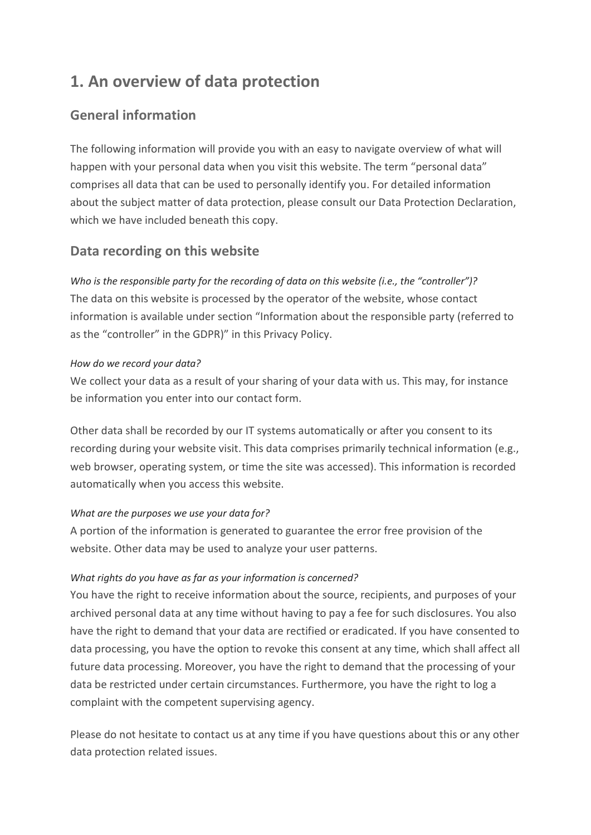# **1. An overview of data protection**

## **General information**

The following information will provide you with an easy to navigate overview of what will happen with your personal data when you visit this website. The term "personal data" comprises all data that can be used to personally identify you. For detailed information about the subject matter of data protection, please consult our Data Protection Declaration, which we have included beneath this copy.

## **Data recording on this website**

*Who is the responsible party for the recording of data on this website (i.e., the "controller")?* The data on this website is processed by the operator of the website, whose contact information is available under section "Information about the responsible party (referred to as the "controller" in the GDPR)" in this Privacy Policy.

#### *How do we record your data?*

We collect your data as a result of your sharing of your data with us. This may, for instance be information you enter into our contact form.

Other data shall be recorded by our IT systems automatically or after you consent to its recording during your website visit. This data comprises primarily technical information (e.g., web browser, operating system, or time the site was accessed). This information is recorded automatically when you access this website.

#### *What are the purposes we use your data for?*

A portion of the information is generated to guarantee the error free provision of the website. Other data may be used to analyze your user patterns.

#### *What rights do you have as far as your information is concerned?*

You have the right to receive information about the source, recipients, and purposes of your archived personal data at any time without having to pay a fee for such disclosures. You also have the right to demand that your data are rectified or eradicated. If you have consented to data processing, you have the option to revoke this consent at any time, which shall affect all future data processing. Moreover, you have the right to demand that the processing of your data be restricted under certain circumstances. Furthermore, you have the right to log a complaint with the competent supervising agency.

Please do not hesitate to contact us at any time if you have questions about this or any other data protection related issues.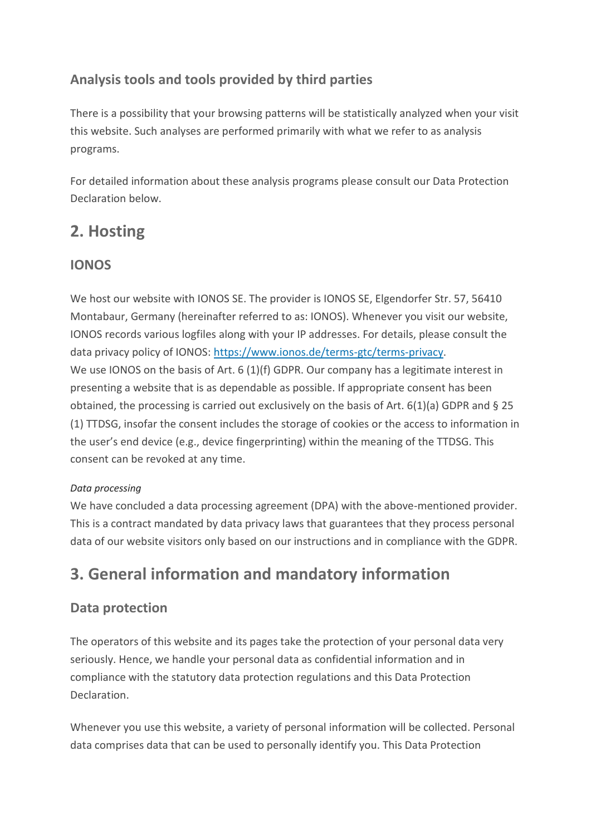## **Analysis tools and tools provided by third parties**

There is a possibility that your browsing patterns will be statistically analyzed when your visit this website. Such analyses are performed primarily with what we refer to as analysis programs.

For detailed information about these analysis programs please consult our Data Protection Declaration below.

# **2. Hosting**

## **IONOS**

We host our website with IONOS SE. The provider is IONOS SE, Elgendorfer Str. 57, 56410 Montabaur, Germany (hereinafter referred to as: IONOS). Whenever you visit our website, IONOS records various logfiles along with your IP addresses. For details, please consult the data privacy policy of IONOS: [https://www.ionos.de/terms-gtc/terms-privacy.](https://www.ionos.de/terms-gtc/terms-privacy) We use IONOS on the basis of Art. 6 (1)(f) GDPR. Our company has a legitimate interest in presenting a website that is as dependable as possible. If appropriate consent has been obtained, the processing is carried out exclusively on the basis of Art. 6(1)(a) GDPR and § 25 (1) TTDSG, insofar the consent includes the storage of cookies or the access to information in the user's end device (e.g., device fingerprinting) within the meaning of the TTDSG. This consent can be revoked at any time.

## *Data processing*

We have concluded a data processing agreement (DPA) with the above-mentioned provider. This is a contract mandated by data privacy laws that guarantees that they process personal data of our website visitors only based on our instructions and in compliance with the GDPR.

# **3. General information and mandatory information**

## **Data protection**

The operators of this website and its pages take the protection of your personal data very seriously. Hence, we handle your personal data as confidential information and in compliance with the statutory data protection regulations and this Data Protection Declaration.

Whenever you use this website, a variety of personal information will be collected. Personal data comprises data that can be used to personally identify you. This Data Protection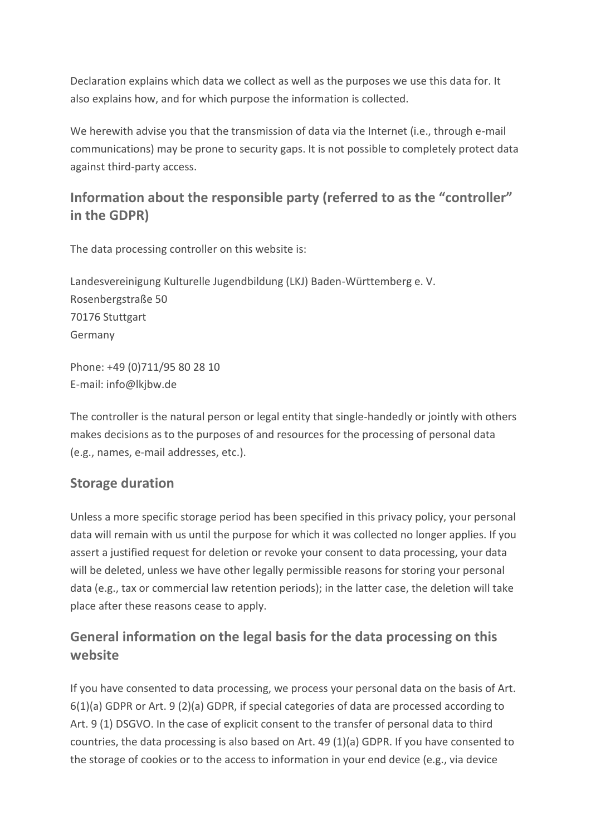Declaration explains which data we collect as well as the purposes we use this data for. It also explains how, and for which purpose the information is collected.

We herewith advise you that the transmission of data via the Internet (i.e., through e-mail communications) may be prone to security gaps. It is not possible to completely protect data against third-party access.

## **Information about the responsible party (referred to as the "controller" in the GDPR)**

The data processing controller on this website is:

Landesvereinigung Kulturelle Jugendbildung (LKJ) Baden-Württemberg e. V. Rosenbergstraße 50 70176 Stuttgart Germany

Phone: +49 (0)711/95 80 28 10 E-mail: info@lkjbw.de

The controller is the natural person or legal entity that single-handedly or jointly with others makes decisions as to the purposes of and resources for the processing of personal data (e.g., names, e-mail addresses, etc.).

## **Storage duration**

Unless a more specific storage period has been specified in this privacy policy, your personal data will remain with us until the purpose for which it was collected no longer applies. If you assert a justified request for deletion or revoke your consent to data processing, your data will be deleted, unless we have other legally permissible reasons for storing your personal data (e.g., tax or commercial law retention periods); in the latter case, the deletion will take place after these reasons cease to apply.

## **General information on the legal basis for the data processing on this website**

If you have consented to data processing, we process your personal data on the basis of Art. 6(1)(a) GDPR or Art. 9 (2)(a) GDPR, if special categories of data are processed according to Art. 9 (1) DSGVO. In the case of explicit consent to the transfer of personal data to third countries, the data processing is also based on Art. 49 (1)(a) GDPR. If you have consented to the storage of cookies or to the access to information in your end device (e.g., via device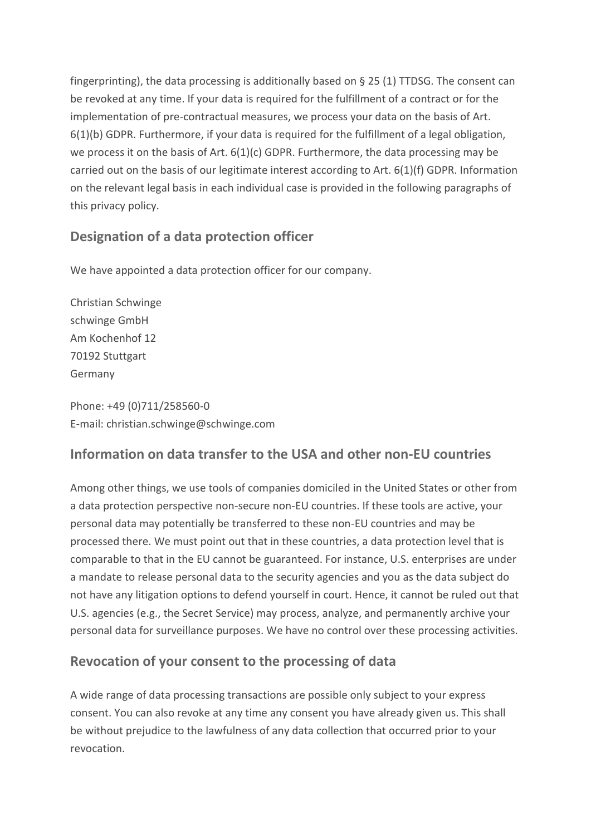fingerprinting), the data processing is additionally based on § 25 (1) TTDSG. The consent can be revoked at any time. If your data is required for the fulfillment of a contract or for the implementation of pre-contractual measures, we process your data on the basis of Art. 6(1)(b) GDPR. Furthermore, if your data is required for the fulfillment of a legal obligation, we process it on the basis of Art.  $6(1)(c)$  GDPR. Furthermore, the data processing may be carried out on the basis of our legitimate interest according to Art. 6(1)(f) GDPR. Information on the relevant legal basis in each individual case is provided in the following paragraphs of this privacy policy.

## **Designation of a data protection officer**

We have appointed a data protection officer for our company.

Christian Schwinge schwinge GmbH Am Kochenhof 12 70192 Stuttgart Germany

Phone: +49 (0)711/258560-0 E-mail: christian.schwinge@schwinge.com

## **Information on data transfer to the USA and other non-EU countries**

Among other things, we use tools of companies domiciled in the United States or other from a data protection perspective non-secure non-EU countries. If these tools are active, your personal data may potentially be transferred to these non-EU countries and may be processed there. We must point out that in these countries, a data protection level that is comparable to that in the EU cannot be guaranteed. For instance, U.S. enterprises are under a mandate to release personal data to the security agencies and you as the data subject do not have any litigation options to defend yourself in court. Hence, it cannot be ruled out that U.S. agencies (e.g., the Secret Service) may process, analyze, and permanently archive your personal data for surveillance purposes. We have no control over these processing activities.

## **Revocation of your consent to the processing of data**

A wide range of data processing transactions are possible only subject to your express consent. You can also revoke at any time any consent you have already given us. This shall be without prejudice to the lawfulness of any data collection that occurred prior to your revocation.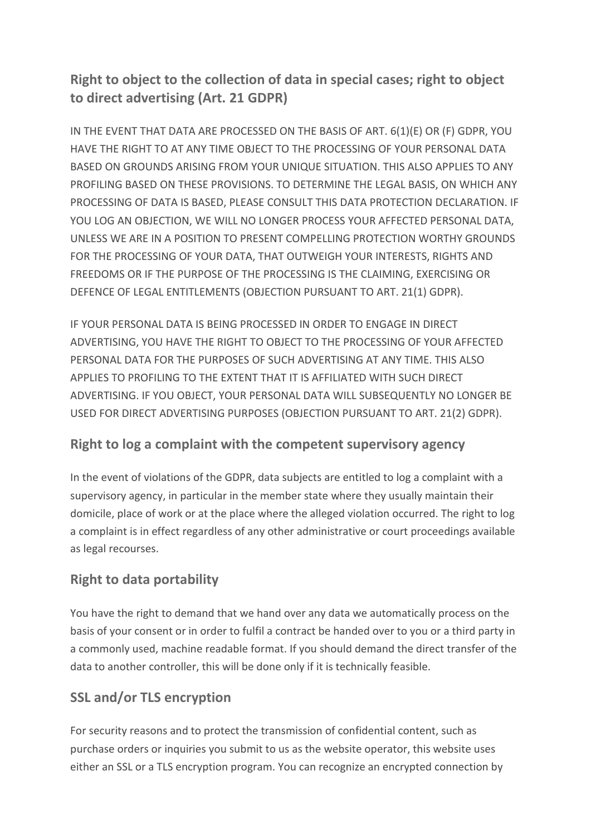## **Right to object to the collection of data in special cases; right to object to direct advertising (Art. 21 GDPR)**

IN THE EVENT THAT DATA ARE PROCESSED ON THE BASIS OF ART. 6(1)(E) OR (F) GDPR, YOU HAVE THE RIGHT TO AT ANY TIME OBJECT TO THE PROCESSING OF YOUR PERSONAL DATA BASED ON GROUNDS ARISING FROM YOUR UNIQUE SITUATION. THIS ALSO APPLIES TO ANY PROFILING BASED ON THESE PROVISIONS. TO DETERMINE THE LEGAL BASIS, ON WHICH ANY PROCESSING OF DATA IS BASED, PLEASE CONSULT THIS DATA PROTECTION DECLARATION. IF YOU LOG AN OBJECTION, WE WILL NO LONGER PROCESS YOUR AFFECTED PERSONAL DATA, UNLESS WE ARE IN A POSITION TO PRESENT COMPELLING PROTECTION WORTHY GROUNDS FOR THE PROCESSING OF YOUR DATA, THAT OUTWEIGH YOUR INTERESTS, RIGHTS AND FREEDOMS OR IF THE PURPOSE OF THE PROCESSING IS THE CLAIMING, EXERCISING OR DEFENCE OF LEGAL ENTITLEMENTS (OBJECTION PURSUANT TO ART. 21(1) GDPR).

IF YOUR PERSONAL DATA IS BEING PROCESSED IN ORDER TO ENGAGE IN DIRECT ADVERTISING, YOU HAVE THE RIGHT TO OBJECT TO THE PROCESSING OF YOUR AFFECTED PERSONAL DATA FOR THE PURPOSES OF SUCH ADVERTISING AT ANY TIME. THIS ALSO APPLIES TO PROFILING TO THE EXTENT THAT IT IS AFFILIATED WITH SUCH DIRECT ADVERTISING. IF YOU OBJECT, YOUR PERSONAL DATA WILL SUBSEQUENTLY NO LONGER BE USED FOR DIRECT ADVERTISING PURPOSES (OBJECTION PURSUANT TO ART. 21(2) GDPR).

## **Right to log a complaint with the competent supervisory agency**

In the event of violations of the GDPR, data subjects are entitled to log a complaint with a supervisory agency, in particular in the member state where they usually maintain their domicile, place of work or at the place where the alleged violation occurred. The right to log a complaint is in effect regardless of any other administrative or court proceedings available as legal recourses.

## **Right to data portability**

You have the right to demand that we hand over any data we automatically process on the basis of your consent or in order to fulfil a contract be handed over to you or a third party in a commonly used, machine readable format. If you should demand the direct transfer of the data to another controller, this will be done only if it is technically feasible.

## **SSL and/or TLS encryption**

For security reasons and to protect the transmission of confidential content, such as purchase orders or inquiries you submit to us as the website operator, this website uses either an SSL or a TLS encryption program. You can recognize an encrypted connection by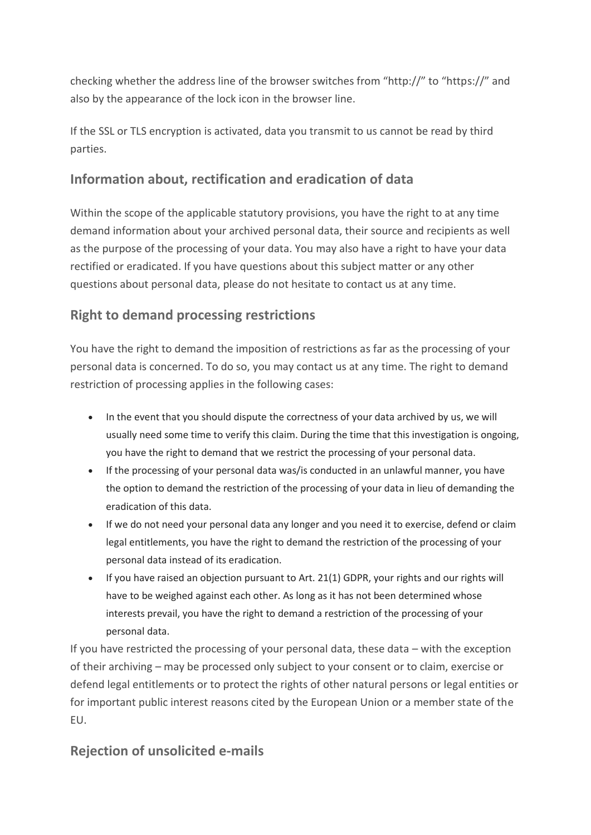checking whether the address line of the browser switches from "http://" to "https://" and also by the appearance of the lock icon in the browser line.

If the SSL or TLS encryption is activated, data you transmit to us cannot be read by third parties.

## **Information about, rectification and eradication of data**

Within the scope of the applicable statutory provisions, you have the right to at any time demand information about your archived personal data, their source and recipients as well as the purpose of the processing of your data. You may also have a right to have your data rectified or eradicated. If you have questions about this subject matter or any other questions about personal data, please do not hesitate to contact us at any time.

## **Right to demand processing restrictions**

You have the right to demand the imposition of restrictions as far as the processing of your personal data is concerned. To do so, you may contact us at any time. The right to demand restriction of processing applies in the following cases:

- In the event that you should dispute the correctness of your data archived by us, we will usually need some time to verify this claim. During the time that this investigation is ongoing, you have the right to demand that we restrict the processing of your personal data.
- If the processing of your personal data was/is conducted in an unlawful manner, you have the option to demand the restriction of the processing of your data in lieu of demanding the eradication of this data.
- If we do not need your personal data any longer and you need it to exercise, defend or claim legal entitlements, you have the right to demand the restriction of the processing of your personal data instead of its eradication.
- If you have raised an objection pursuant to Art. 21(1) GDPR, your rights and our rights will have to be weighed against each other. As long as it has not been determined whose interests prevail, you have the right to demand a restriction of the processing of your personal data.

If you have restricted the processing of your personal data, these data – with the exception of their archiving – may be processed only subject to your consent or to claim, exercise or defend legal entitlements or to protect the rights of other natural persons or legal entities or for important public interest reasons cited by the European Union or a member state of the EU.

## **Rejection of unsolicited e-mails**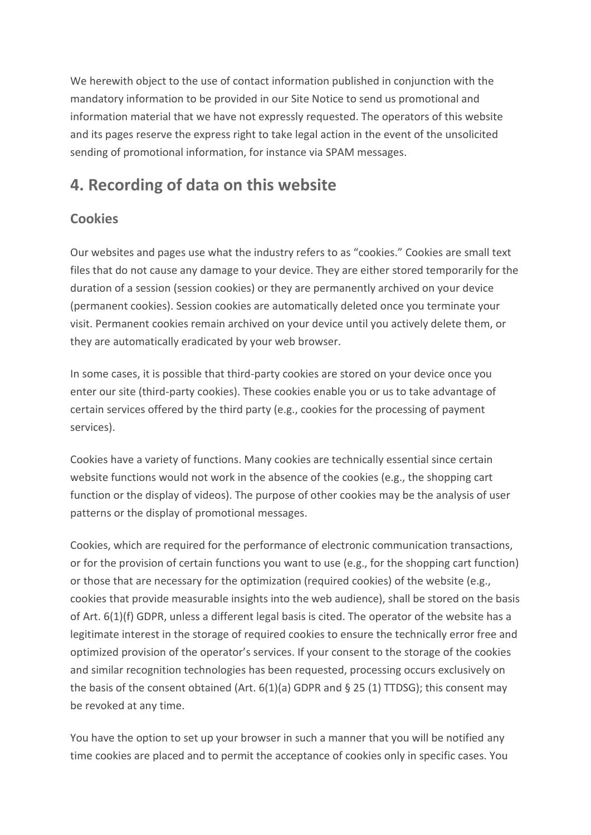We herewith object to the use of contact information published in conjunction with the mandatory information to be provided in our Site Notice to send us promotional and information material that we have not expressly requested. The operators of this website and its pages reserve the express right to take legal action in the event of the unsolicited sending of promotional information, for instance via SPAM messages.

## **4. Recording of data on this website**

## **Cookies**

Our websites and pages use what the industry refers to as "cookies." Cookies are small text files that do not cause any damage to your device. They are either stored temporarily for the duration of a session (session cookies) or they are permanently archived on your device (permanent cookies). Session cookies are automatically deleted once you terminate your visit. Permanent cookies remain archived on your device until you actively delete them, or they are automatically eradicated by your web browser.

In some cases, it is possible that third-party cookies are stored on your device once you enter our site (third-party cookies). These cookies enable you or us to take advantage of certain services offered by the third party (e.g., cookies for the processing of payment services).

Cookies have a variety of functions. Many cookies are technically essential since certain website functions would not work in the absence of the cookies (e.g., the shopping cart function or the display of videos). The purpose of other cookies may be the analysis of user patterns or the display of promotional messages.

Cookies, which are required for the performance of electronic communication transactions, or for the provision of certain functions you want to use (e.g., for the shopping cart function) or those that are necessary for the optimization (required cookies) of the website (e.g., cookies that provide measurable insights into the web audience), shall be stored on the basis of Art. 6(1)(f) GDPR, unless a different legal basis is cited. The operator of the website has a legitimate interest in the storage of required cookies to ensure the technically error free and optimized provision of the operator's services. If your consent to the storage of the cookies and similar recognition technologies has been requested, processing occurs exclusively on the basis of the consent obtained (Art. 6(1)(a) GDPR and § 25 (1) TTDSG); this consent may be revoked at any time.

You have the option to set up your browser in such a manner that you will be notified any time cookies are placed and to permit the acceptance of cookies only in specific cases. You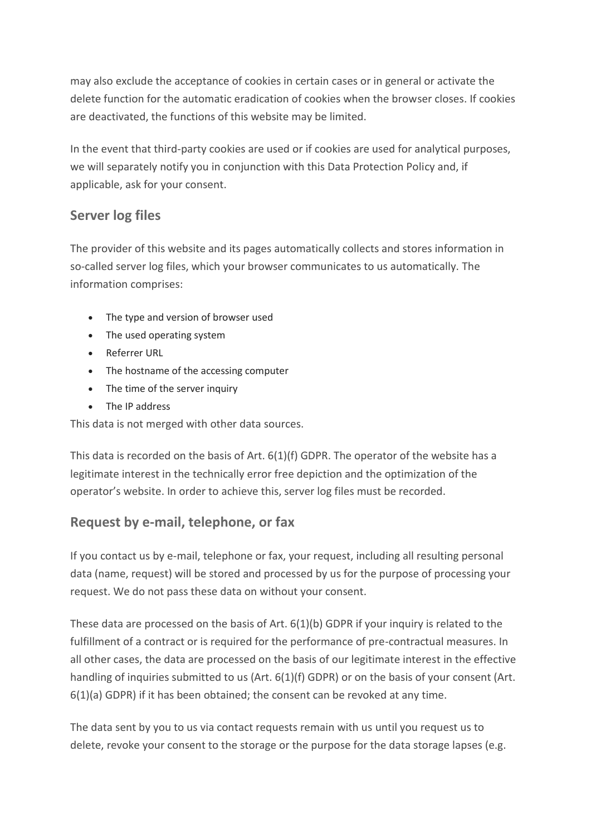may also exclude the acceptance of cookies in certain cases or in general or activate the delete function for the automatic eradication of cookies when the browser closes. If cookies are deactivated, the functions of this website may be limited.

In the event that third-party cookies are used or if cookies are used for analytical purposes, we will separately notify you in conjunction with this Data Protection Policy and, if applicable, ask for your consent.

## **Server log files**

The provider of this website and its pages automatically collects and stores information in so-called server log files, which your browser communicates to us automatically. The information comprises:

- The type and version of browser used
- The used operating system
- Referrer URL
- The hostname of the accessing computer
- The time of the server inquiry
- The IP address

This data is not merged with other data sources.

This data is recorded on the basis of Art. 6(1)(f) GDPR. The operator of the website has a legitimate interest in the technically error free depiction and the optimization of the operator's website. In order to achieve this, server log files must be recorded.

## **Request by e-mail, telephone, or fax**

If you contact us by e-mail, telephone or fax, your request, including all resulting personal data (name, request) will be stored and processed by us for the purpose of processing your request. We do not pass these data on without your consent.

These data are processed on the basis of Art. 6(1)(b) GDPR if your inquiry is related to the fulfillment of a contract or is required for the performance of pre-contractual measures. In all other cases, the data are processed on the basis of our legitimate interest in the effective handling of inquiries submitted to us (Art. 6(1)(f) GDPR) or on the basis of your consent (Art. 6(1)(a) GDPR) if it has been obtained; the consent can be revoked at any time.

The data sent by you to us via contact requests remain with us until you request us to delete, revoke your consent to the storage or the purpose for the data storage lapses (e.g.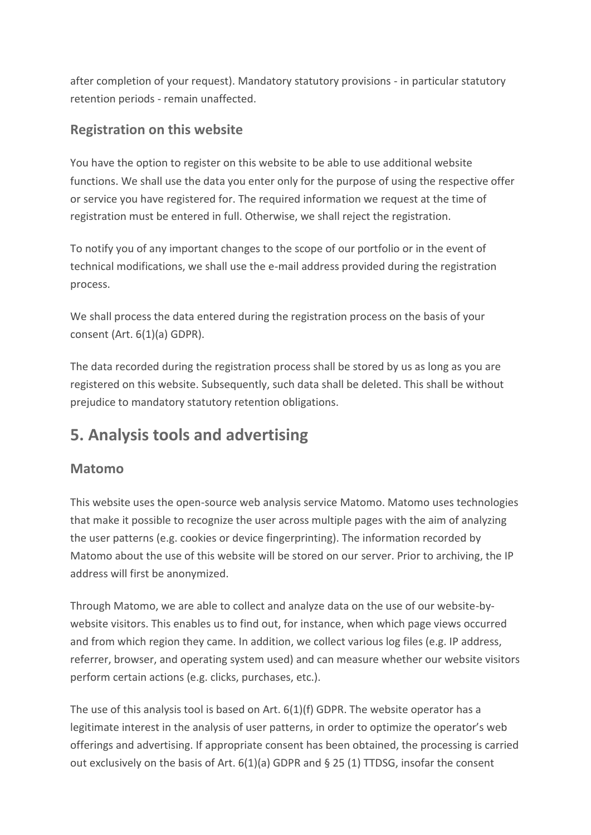after completion of your request). Mandatory statutory provisions - in particular statutory retention periods - remain unaffected.

## **Registration on this website**

You have the option to register on this website to be able to use additional website functions. We shall use the data you enter only for the purpose of using the respective offer or service you have registered for. The required information we request at the time of registration must be entered in full. Otherwise, we shall reject the registration.

To notify you of any important changes to the scope of our portfolio or in the event of technical modifications, we shall use the e-mail address provided during the registration process.

We shall process the data entered during the registration process on the basis of your consent (Art. 6(1)(a) GDPR).

The data recorded during the registration process shall be stored by us as long as you are registered on this website. Subsequently, such data shall be deleted. This shall be without prejudice to mandatory statutory retention obligations.

# **5. Analysis tools and advertising**

## **Matomo**

This website uses the open-source web analysis service Matomo. Matomo uses technologies that make it possible to recognize the user across multiple pages with the aim of analyzing the user patterns (e.g. cookies or device fingerprinting). The information recorded by Matomo about the use of this website will be stored on our server. Prior to archiving, the IP address will first be anonymized.

Through Matomo, we are able to collect and analyze data on the use of our website-bywebsite visitors. This enables us to find out, for instance, when which page views occurred and from which region they came. In addition, we collect various log files (e.g. IP address, referrer, browser, and operating system used) and can measure whether our website visitors perform certain actions (e.g. clicks, purchases, etc.).

The use of this analysis tool is based on Art. 6(1)(f) GDPR. The website operator has a legitimate interest in the analysis of user patterns, in order to optimize the operator's web offerings and advertising. If appropriate consent has been obtained, the processing is carried out exclusively on the basis of Art.  $6(1)(a)$  GDPR and § 25 (1) TTDSG, insofar the consent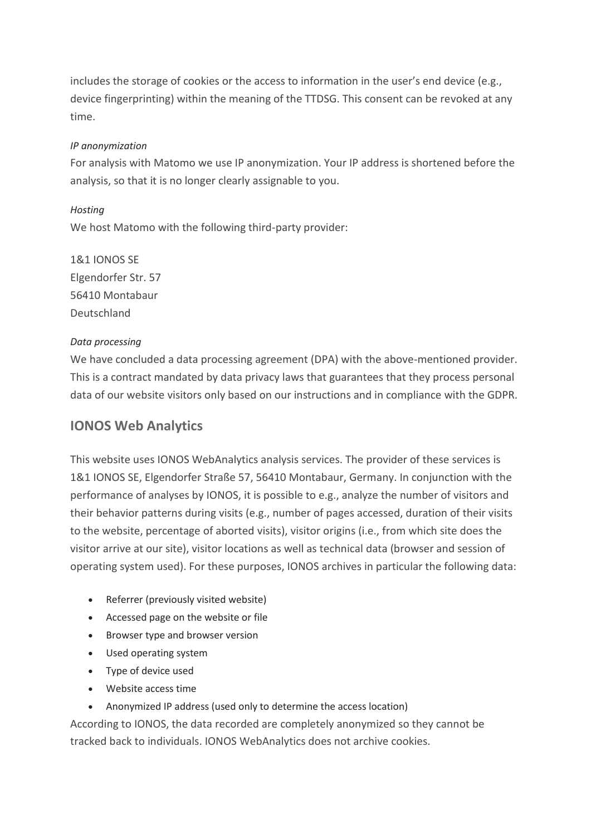includes the storage of cookies or the access to information in the user's end device (e.g., device fingerprinting) within the meaning of the TTDSG. This consent can be revoked at any time.

#### *IP anonymization*

For analysis with Matomo we use IP anonymization. Your IP address is shortened before the analysis, so that it is no longer clearly assignable to you.

*Hosting* We host Matomo with the following third-party provider:

1&1 IONOS SE Elgendorfer Str. 57 56410 Montabaur Deutschland

#### *Data processing*

We have concluded a data processing agreement (DPA) with the above-mentioned provider. This is a contract mandated by data privacy laws that guarantees that they process personal data of our website visitors only based on our instructions and in compliance with the GDPR.

## **IONOS Web Analytics**

This website uses IONOS WebAnalytics analysis services. The provider of these services is 1&1 IONOS SE, Elgendorfer Straße 57, 56410 Montabaur, Germany. In conjunction with the performance of analyses by IONOS, it is possible to e.g., analyze the number of visitors and their behavior patterns during visits (e.g., number of pages accessed, duration of their visits to the website, percentage of aborted visits), visitor origins (i.e., from which site does the visitor arrive at our site), visitor locations as well as technical data (browser and session of operating system used). For these purposes, IONOS archives in particular the following data:

- Referrer (previously visited website)
- Accessed page on the website or file
- Browser type and browser version
- Used operating system
- Type of device used
- Website access time
- Anonymized IP address (used only to determine the access location)

According to IONOS, the data recorded are completely anonymized so they cannot be tracked back to individuals. IONOS WebAnalytics does not archive cookies.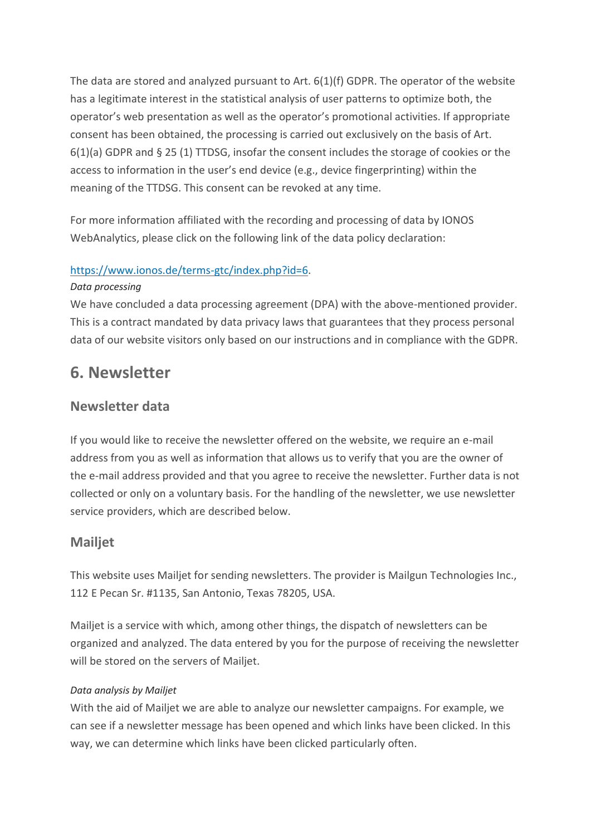The data are stored and analyzed pursuant to Art. 6(1)(f) GDPR. The operator of the website has a legitimate interest in the statistical analysis of user patterns to optimize both, the operator's web presentation as well as the operator's promotional activities. If appropriate consent has been obtained, the processing is carried out exclusively on the basis of Art. 6(1)(a) GDPR and § 25 (1) TTDSG, insofar the consent includes the storage of cookies or the access to information in the user's end device (e.g., device fingerprinting) within the meaning of the TTDSG. This consent can be revoked at any time.

For more information affiliated with the recording and processing of data by IONOS WebAnalytics, please click on the following link of the data policy declaration:

#### [https://www.ionos.de/terms-gtc/index.php?id=6.](https://www.ionos.de/terms-gtc/index.php?id=6)

#### *Data processing*

We have concluded a data processing agreement (DPA) with the above-mentioned provider. This is a contract mandated by data privacy laws that guarantees that they process personal data of our website visitors only based on our instructions and in compliance with the GDPR.

## **6. Newsletter**

## **Newsletter data**

If you would like to receive the newsletter offered on the website, we require an e-mail address from you as well as information that allows us to verify that you are the owner of the e-mail address provided and that you agree to receive the newsletter. Further data is not collected or only on a voluntary basis. For the handling of the newsletter, we use newsletter service providers, which are described below.

## **Mailjet**

This website uses Mailjet for sending newsletters. The provider is Mailgun Technologies Inc., 112 E Pecan Sr. #1135, San Antonio, Texas 78205, USA.

Mailjet is a service with which, among other things, the dispatch of newsletters can be organized and analyzed. The data entered by you for the purpose of receiving the newsletter will be stored on the servers of Mailjet.

#### *Data analysis by Mailjet*

With the aid of Mailjet we are able to analyze our newsletter campaigns. For example, we can see if a newsletter message has been opened and which links have been clicked. In this way, we can determine which links have been clicked particularly often.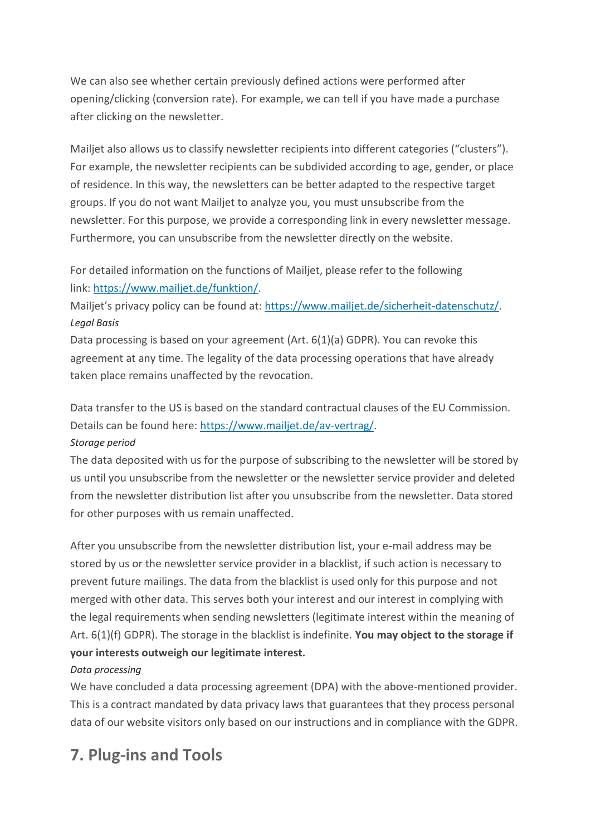We can also see whether certain previously defined actions were performed after opening/clicking (conversion rate). For example, we can tell if you have made a purchase after clicking on the newsletter.

Mailjet also allows us to classify newsletter recipients into different categories ("clusters"). For example, the newsletter recipients can be subdivided according to age, gender, or place of residence. In this way, the newsletters can be better adapted to the respective target groups. If you do not want Mailjet to analyze you, you must unsubscribe from the newsletter. For this purpose, we provide a corresponding link in every newsletter message. Furthermore, you can unsubscribe from the newsletter directly on the website.

For detailed information on the functions of Mailjet, please refer to the following link: [https://www.mailjet.de/funktion/.](https://www.mailjet.de/funktion/)

Mailjet's privacy policy can be found at: [https://www.mailjet.de/sicherheit-datenschutz/.](https://www.mailjet.de/sicherheit-datenschutz/) *Legal Basis*

Data processing is based on your agreement (Art. 6(1)(a) GDPR). You can revoke this agreement at any time. The legality of the data processing operations that have already taken place remains unaffected by the revocation.

Data transfer to the US is based on the standard contractual clauses of the EU Commission. Details can be found here: [https://www.mailjet.de/av-vertrag/.](https://www.mailjet.de/av-vertrag/) *Storage period*

The data deposited with us for the purpose of subscribing to the newsletter will be stored by us until you unsubscribe from the newsletter or the newsletter service provider and deleted from the newsletter distribution list after you unsubscribe from the newsletter. Data stored for other purposes with us remain unaffected.

After you unsubscribe from the newsletter distribution list, your e-mail address may be stored by us or the newsletter service provider in a blacklist, if such action is necessary to prevent future mailings. The data from the blacklist is used only for this purpose and not merged with other data. This serves both your interest and our interest in complying with the legal requirements when sending newsletters (legitimate interest within the meaning of Art. 6(1)(f) GDPR). The storage in the blacklist is indefinite. **You may object to the storage if your interests outweigh our legitimate interest.**

#### *Data processing*

We have concluded a data processing agreement (DPA) with the above-mentioned provider. This is a contract mandated by data privacy laws that guarantees that they process personal data of our website visitors only based on our instructions and in compliance with the GDPR.

# **7. Plug-ins and Tools**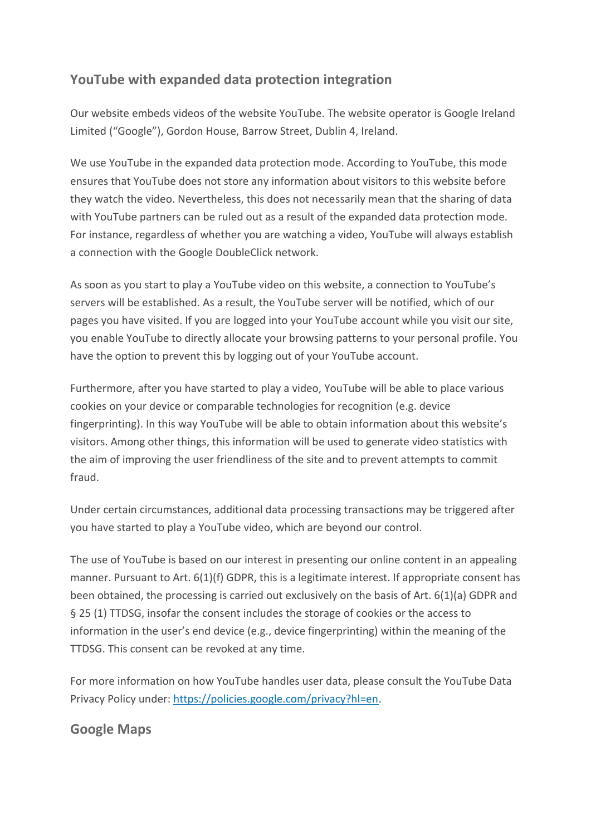## **YouTube with expanded data protection integration**

Our website embeds videos of the website YouTube. The website operator is Google Ireland Limited ("Google"), Gordon House, Barrow Street, Dublin 4, Ireland.

We use YouTube in the expanded data protection mode. According to YouTube, this mode ensures that YouTube does not store any information about visitors to this website before they watch the video. Nevertheless, this does not necessarily mean that the sharing of data with YouTube partners can be ruled out as a result of the expanded data protection mode. For instance, regardless of whether you are watching a video, YouTube will always establish a connection with the Google DoubleClick network.

As soon as you start to play a YouTube video on this website, a connection to YouTube's servers will be established. As a result, the YouTube server will be notified, which of our pages you have visited. If you are logged into your YouTube account while you visit our site, you enable YouTube to directly allocate your browsing patterns to your personal profile. You have the option to prevent this by logging out of your YouTube account.

Furthermore, after you have started to play a video, YouTube will be able to place various cookies on your device or comparable technologies for recognition (e.g. device fingerprinting). In this way YouTube will be able to obtain information about this website's visitors. Among other things, this information will be used to generate video statistics with the aim of improving the user friendliness of the site and to prevent attempts to commit fraud.

Under certain circumstances, additional data processing transactions may be triggered after you have started to play a YouTube video, which are beyond our control.

The use of YouTube is based on our interest in presenting our online content in an appealing manner. Pursuant to Art. 6(1)(f) GDPR, this is a legitimate interest. If appropriate consent has been obtained, the processing is carried out exclusively on the basis of Art. 6(1)(a) GDPR and § 25 (1) TTDSG, insofar the consent includes the storage of cookies or the access to information in the user's end device (e.g., device fingerprinting) within the meaning of the TTDSG. This consent can be revoked at any time.

For more information on how YouTube handles user data, please consult the YouTube Data Privacy Policy under: [https://policies.google.com/privacy?hl=en.](https://policies.google.com/privacy?hl=en)

## **Google Maps**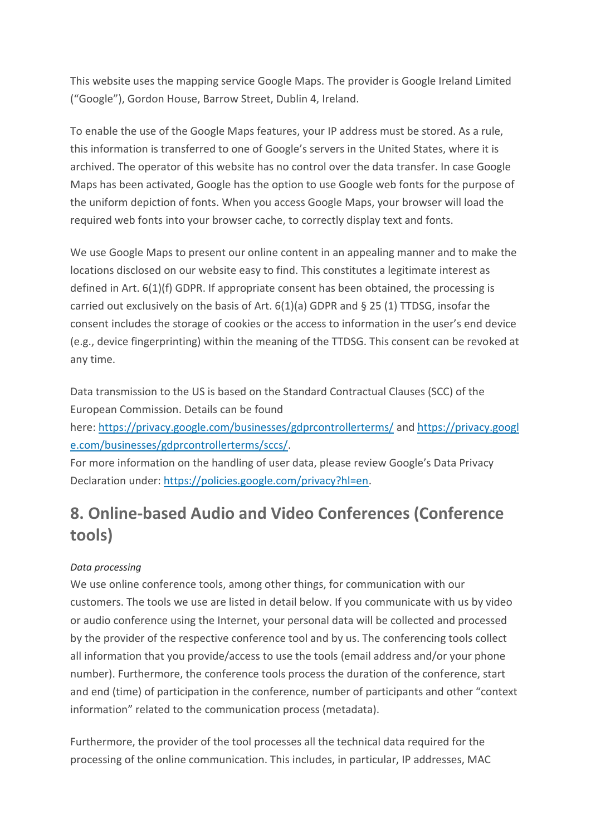This website uses the mapping service Google Maps. The provider is Google Ireland Limited ("Google"), Gordon House, Barrow Street, Dublin 4, Ireland.

To enable the use of the Google Maps features, your IP address must be stored. As a rule, this information is transferred to one of Google's servers in the United States, where it is archived. The operator of this website has no control over the data transfer. In case Google Maps has been activated, Google has the option to use Google web fonts for the purpose of the uniform depiction of fonts. When you access Google Maps, your browser will load the required web fonts into your browser cache, to correctly display text and fonts.

We use Google Maps to present our online content in an appealing manner and to make the locations disclosed on our website easy to find. This constitutes a legitimate interest as defined in Art. 6(1)(f) GDPR. If appropriate consent has been obtained, the processing is carried out exclusively on the basis of Art.  $6(1)(a)$  GDPR and § 25 (1) TTDSG, insofar the consent includes the storage of cookies or the access to information in the user's end device (e.g., device fingerprinting) within the meaning of the TTDSG. This consent can be revoked at any time.

Data transmission to the US is based on the Standard Contractual Clauses (SCC) of the European Commission. Details can be found

here: <https://privacy.google.com/businesses/gdprcontrollerterms/> and [https://privacy.googl](https://privacy.google.com/businesses/gdprcontrollerterms/sccs/) [e.com/businesses/gdprcontrollerterms/sccs/.](https://privacy.google.com/businesses/gdprcontrollerterms/sccs/)

For more information on the handling of user data, please review Google's Data Privacy Declaration under: [https://policies.google.com/privacy?hl=en.](https://policies.google.com/privacy?hl=en)

# **8. Online-based Audio and Video Conferences (Conference tools)**

#### *Data processing*

We use online conference tools, among other things, for communication with our customers. The tools we use are listed in detail below. If you communicate with us by video or audio conference using the Internet, your personal data will be collected and processed by the provider of the respective conference tool and by us. The conferencing tools collect all information that you provide/access to use the tools (email address and/or your phone number). Furthermore, the conference tools process the duration of the conference, start and end (time) of participation in the conference, number of participants and other "context information" related to the communication process (metadata).

Furthermore, the provider of the tool processes all the technical data required for the processing of the online communication. This includes, in particular, IP addresses, MAC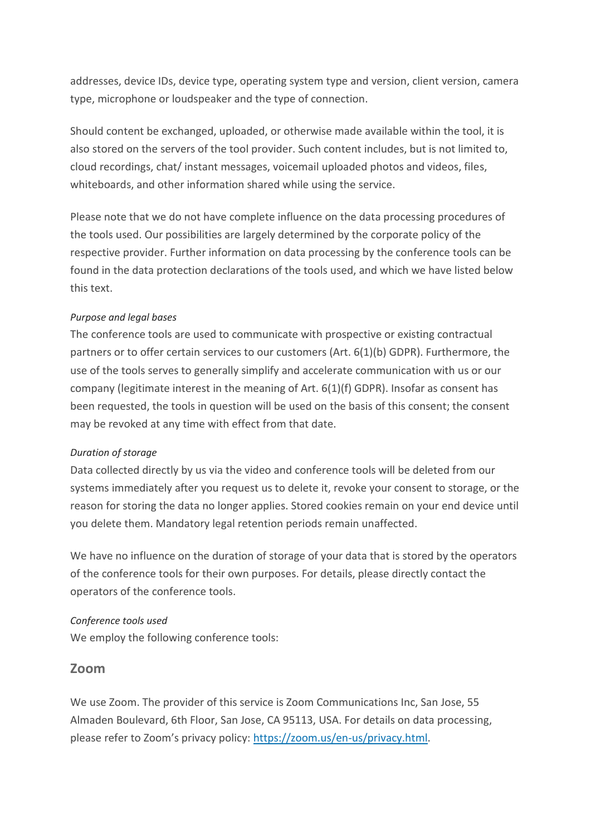addresses, device IDs, device type, operating system type and version, client version, camera type, microphone or loudspeaker and the type of connection.

Should content be exchanged, uploaded, or otherwise made available within the tool, it is also stored on the servers of the tool provider. Such content includes, but is not limited to, cloud recordings, chat/ instant messages, voicemail uploaded photos and videos, files, whiteboards, and other information shared while using the service.

Please note that we do not have complete influence on the data processing procedures of the tools used. Our possibilities are largely determined by the corporate policy of the respective provider. Further information on data processing by the conference tools can be found in the data protection declarations of the tools used, and which we have listed below this text.

#### *Purpose and legal bases*

The conference tools are used to communicate with prospective or existing contractual partners or to offer certain services to our customers (Art. 6(1)(b) GDPR). Furthermore, the use of the tools serves to generally simplify and accelerate communication with us or our company (legitimate interest in the meaning of Art. 6(1)(f) GDPR). Insofar as consent has been requested, the tools in question will be used on the basis of this consent; the consent may be revoked at any time with effect from that date.

#### *Duration of storage*

Data collected directly by us via the video and conference tools will be deleted from our systems immediately after you request us to delete it, revoke your consent to storage, or the reason for storing the data no longer applies. Stored cookies remain on your end device until you delete them. Mandatory legal retention periods remain unaffected.

We have no influence on the duration of storage of your data that is stored by the operators of the conference tools for their own purposes. For details, please directly contact the operators of the conference tools.

#### *Conference tools used*

We employ the following conference tools:

#### **Zoom**

We use Zoom. The provider of this service is Zoom Communications Inc, San Jose, 55 Almaden Boulevard, 6th Floor, San Jose, CA 95113, USA. For details on data processing, please refer to Zoom's privacy policy: [https://zoom.us/en-us/privacy.html.](https://zoom.us/en-us/privacy.html)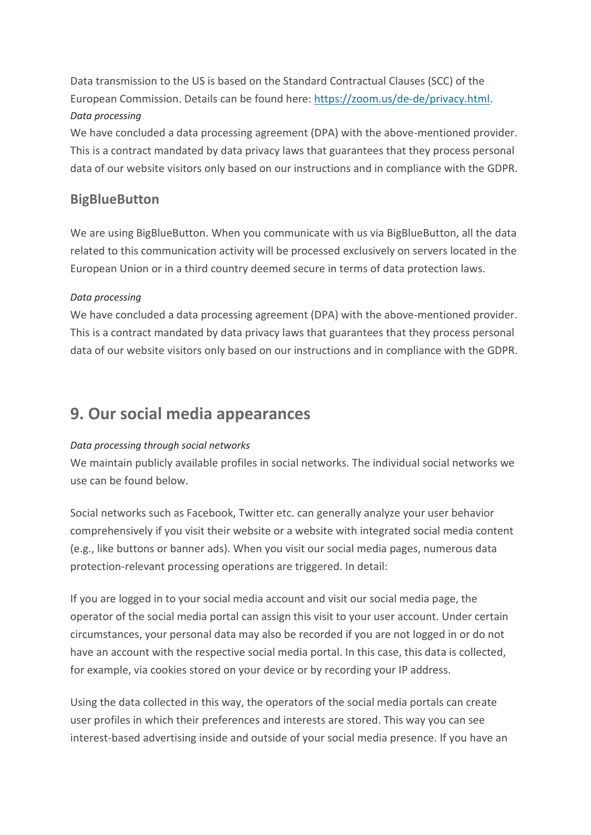Data transmission to the US is based on the Standard Contractual Clauses (SCC) of the European Commission. Details can be found here: [https://zoom.us/de-de/privacy.html.](https://zoom.us/de-de/privacy.html) *Data processing*

We have concluded a data processing agreement (DPA) with the above-mentioned provider. This is a contract mandated by data privacy laws that guarantees that they process personal data of our website visitors only based on our instructions and in compliance with the GDPR.

## **BigBlueButton**

We are using BigBlueButton. When you communicate with us via BigBlueButton, all the data related to this communication activity will be processed exclusively on servers located in the European Union or in a third country deemed secure in terms of data protection laws.

#### *Data processing*

We have concluded a data processing agreement (DPA) with the above-mentioned provider. This is a contract mandated by data privacy laws that guarantees that they process personal data of our website visitors only based on our instructions and in compliance with the GDPR.

## **9. Our social media appearances**

#### *Data processing through social networks*

We maintain publicly available profiles in social networks. The individual social networks we use can be found below.

Social networks such as Facebook, Twitter etc. can generally analyze your user behavior comprehensively if you visit their website or a website with integrated social media content (e.g., like buttons or banner ads). When you visit our social media pages, numerous data protection-relevant processing operations are triggered. In detail:

If you are logged in to your social media account and visit our social media page, the operator of the social media portal can assign this visit to your user account. Under certain circumstances, your personal data may also be recorded if you are not logged in or do not have an account with the respective social media portal. In this case, this data is collected, for example, via cookies stored on your device or by recording your IP address.

Using the data collected in this way, the operators of the social media portals can create user profiles in which their preferences and interests are stored. This way you can see interest-based advertising inside and outside of your social media presence. If you have an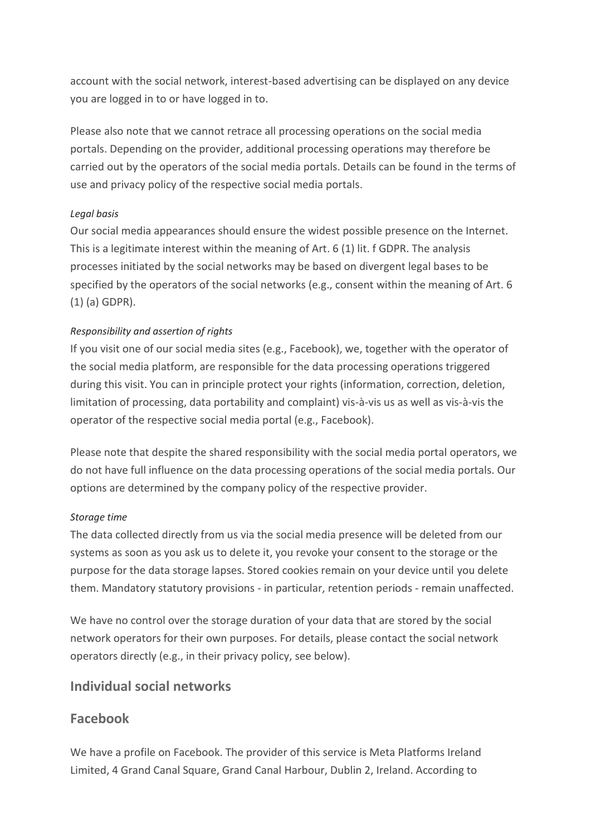account with the social network, interest-based advertising can be displayed on any device you are logged in to or have logged in to.

Please also note that we cannot retrace all processing operations on the social media portals. Depending on the provider, additional processing operations may therefore be carried out by the operators of the social media portals. Details can be found in the terms of use and privacy policy of the respective social media portals.

#### *Legal basis*

Our social media appearances should ensure the widest possible presence on the Internet. This is a legitimate interest within the meaning of Art. 6 (1) lit. f GDPR. The analysis processes initiated by the social networks may be based on divergent legal bases to be specified by the operators of the social networks (e.g., consent within the meaning of Art. 6 (1) (a) GDPR).

#### *Responsibility and assertion of rights*

If you visit one of our social media sites (e.g., Facebook), we, together with the operator of the social media platform, are responsible for the data processing operations triggered during this visit. You can in principle protect your rights (information, correction, deletion, limitation of processing, data portability and complaint) vis-à-vis us as well as vis-à-vis the operator of the respective social media portal (e.g., Facebook).

Please note that despite the shared responsibility with the social media portal operators, we do not have full influence on the data processing operations of the social media portals. Our options are determined by the company policy of the respective provider.

#### *Storage time*

The data collected directly from us via the social media presence will be deleted from our systems as soon as you ask us to delete it, you revoke your consent to the storage or the purpose for the data storage lapses. Stored cookies remain on your device until you delete them. Mandatory statutory provisions - in particular, retention periods - remain unaffected.

We have no control over the storage duration of your data that are stored by the social network operators for their own purposes. For details, please contact the social network operators directly (e.g., in their privacy policy, see below).

## **Individual social networks**

## **Facebook**

We have a profile on Facebook. The provider of this service is Meta Platforms Ireland Limited, 4 Grand Canal Square, Grand Canal Harbour, Dublin 2, Ireland. According to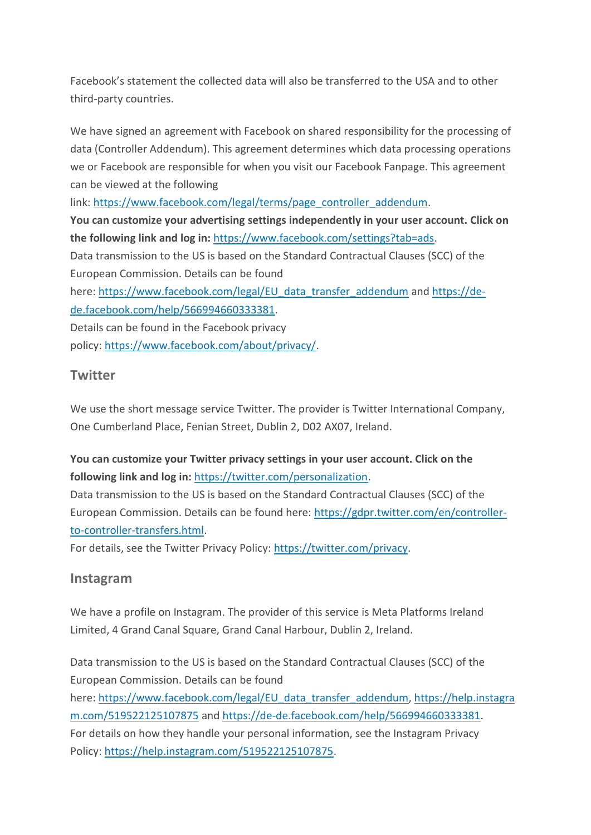Facebook's statement the collected data will also be transferred to the USA and to other third-party countries.

We have signed an agreement with Facebook on shared responsibility for the processing of data (Controller Addendum). This agreement determines which data processing operations we or Facebook are responsible for when you visit our Facebook Fanpage. This agreement can be viewed at the following

link: [https://www.facebook.com/legal/terms/page\\_controller\\_addendum.](https://www.facebook.com/legal/terms/page_controller_addendum)

**You can customize your advertising settings independently in your user account. Click on the following link and log in:** [https://www.facebook.com/settings?tab=ads.](https://www.facebook.com/settings?tab=ads)

Data transmission to the US is based on the Standard Contractual Clauses (SCC) of the European Commission. Details can be found

here: [https://www.facebook.com/legal/EU\\_data\\_transfer\\_addendum](https://www.facebook.com/legal/EU_data_transfer_addendum) and [https://de](https://de-de.facebook.com/help/566994660333381)[de.facebook.com/help/566994660333381.](https://de-de.facebook.com/help/566994660333381)

Details can be found in the Facebook privacy policy: [https://www.facebook.com/about/privacy/.](https://www.facebook.com/about/privacy/)

## **Twitter**

We use the short message service Twitter. The provider is Twitter International Company, One Cumberland Place, Fenian Street, Dublin 2, D02 AX07, Ireland.

#### **You can customize your Twitter privacy settings in your user account. Click on the following link and log in:** [https://twitter.com/personalization.](https://twitter.com/personalization)

Data transmission to the US is based on the Standard Contractual Clauses (SCC) of the European Commission. Details can be found here: [https://gdpr.twitter.com/en/controller](https://gdpr.twitter.com/en/controller-to-controller-transfers.html)[to-controller-transfers.html.](https://gdpr.twitter.com/en/controller-to-controller-transfers.html)

For details, see the Twitter Privacy Policy: [https://twitter.com/privacy.](https://twitter.com/de/privacy)

## **Instagram**

We have a profile on Instagram. The provider of this service is Meta Platforms Ireland Limited, 4 Grand Canal Square, Grand Canal Harbour, Dublin 2, Ireland.

Data transmission to the US is based on the Standard Contractual Clauses (SCC) of the European Commission. Details can be found here: [https://www.facebook.com/legal/EU\\_data\\_transfer\\_addendum,](https://www.facebook.com/legal/EU_data_transfer_addendum) [https://help.instagra](https://help.instagram.com/519522125107875) [m.com/519522125107875](https://help.instagram.com/519522125107875) and [https://de-de.facebook.com/help/566994660333381.](https://de-de.facebook.com/help/566994660333381) For details on how they handle your personal information, see the Instagram Privacy Policy: [https://help.instagram.com/519522125107875.](https://help.instagram.com/519522125107875)